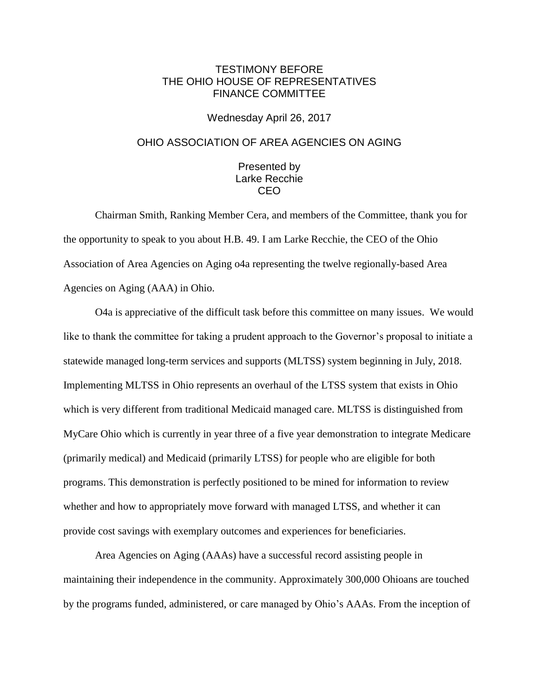## TESTIMONY BEFORE THE OHIO HOUSE OF REPRESENTATIVES FINANCE COMMITTEE

## Wednesday April 26, 2017

## OHIO ASSOCIATION OF AREA AGENCIES ON AGING

## Presented by Larke Recchie CEO

Chairman Smith, Ranking Member Cera, and members of the Committee, thank you for the opportunity to speak to you about H.B. 49. I am Larke Recchie, the CEO of the Ohio Association of Area Agencies on Aging o4a representing the twelve regionally-based Area Agencies on Aging (AAA) in Ohio.

O4a is appreciative of the difficult task before this committee on many issues. We would like to thank the committee for taking a prudent approach to the Governor's proposal to initiate a statewide managed long-term services and supports (MLTSS) system beginning in July, 2018. Implementing MLTSS in Ohio represents an overhaul of the LTSS system that exists in Ohio which is very different from traditional Medicaid managed care. MLTSS is distinguished from MyCare Ohio which is currently in year three of a five year demonstration to integrate Medicare (primarily medical) and Medicaid (primarily LTSS) for people who are eligible for both programs. This demonstration is perfectly positioned to be mined for information to review whether and how to appropriately move forward with managed LTSS, and whether it can provide cost savings with exemplary outcomes and experiences for beneficiaries.

Area Agencies on Aging (AAAs) have a successful record assisting people in maintaining their independence in the community. Approximately 300,000 Ohioans are touched by the programs funded, administered, or care managed by Ohio's AAAs. From the inception of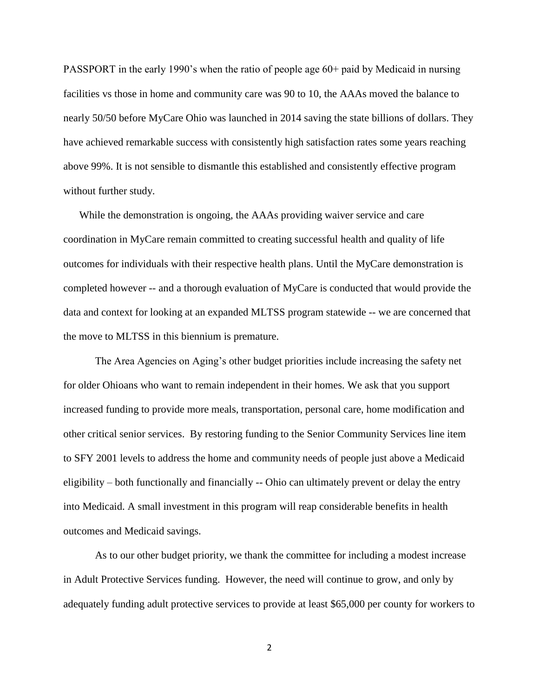PASSPORT in the early 1990's when the ratio of people age 60+ paid by Medicaid in nursing facilities vs those in home and community care was 90 to 10, the AAAs moved the balance to nearly 50/50 before MyCare Ohio was launched in 2014 saving the state billions of dollars. They have achieved remarkable success with consistently high satisfaction rates some years reaching above 99%. It is not sensible to dismantle this established and consistently effective program without further study.

While the demonstration is ongoing, the AAAs providing waiver service and care coordination in MyCare remain committed to creating successful health and quality of life outcomes for individuals with their respective health plans. Until the MyCare demonstration is completed however -- and a thorough evaluation of MyCare is conducted that would provide the data and context for looking at an expanded MLTSS program statewide -- we are concerned that the move to MLTSS in this biennium is premature.

The Area Agencies on Aging's other budget priorities include increasing the safety net for older Ohioans who want to remain independent in their homes. We ask that you support increased funding to provide more meals, transportation, personal care, home modification and other critical senior services. By restoring funding to the Senior Community Services line item to SFY 2001 levels to address the home and community needs of people just above a Medicaid eligibility – both functionally and financially -- Ohio can ultimately prevent or delay the entry into Medicaid. A small investment in this program will reap considerable benefits in health outcomes and Medicaid savings.

As to our other budget priority, we thank the committee for including a modest increase in Adult Protective Services funding. However, the need will continue to grow, and only by adequately funding adult protective services to provide at least \$65,000 per county for workers to

2